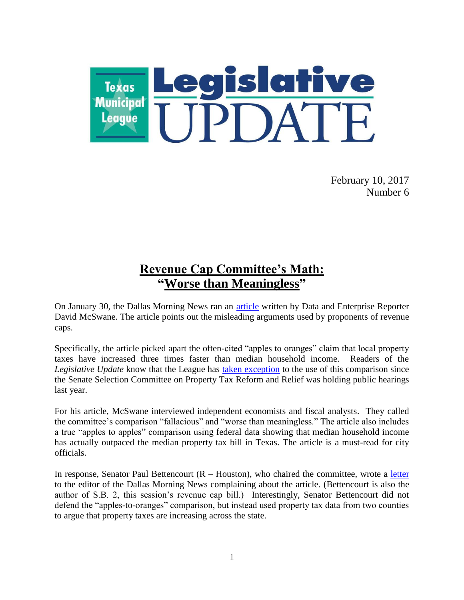

February 10, 2017 Number 6

# **Revenue Cap Committee's Math: "Worse than Meaningless"**

On January 30, the Dallas Morning News ran an [article](http://www.dallasnews.com/news/texas-legislature/2017/01/30/misleading-stats-fuel-republicans-effort-cap-local-property-taxes) written by Data and Enterprise Reporter David McSwane. The article points out the misleading arguments used by proponents of revenue caps.

Specifically, the article picked apart the often-cited "apples to oranges" claim that local property taxes have increased three times faster than median household income. Readers of the *Legislative Update* know that the League has [taken exception](http://www.tml.org/legis_updates/senate-tax-committee-doubles-down-on-faulty-charts) to the use of this comparison since the Senate Selection Committee on Property Tax Reform and Relief was holding public hearings last year.

For his article, McSwane interviewed independent economists and fiscal analysts. They called the committee's comparison "fallacious" and "worse than meaningless." The article also includes a true "apples to apples" comparison using federal data showing that median household income has actually outpaced the median property tax bill in Texas. The article is a must-read for city officials.

In response, Senator Paul Bettencourt  $(R - Houston)$ , who chaired the committee, wrote a [letter](http://www.tml.org/p/Letter%20to%20DMN%20editor%20(02%2003%2017).pdf) to the editor of the Dallas Morning News complaining about the article. (Bettencourt is also the author of S.B. 2, this session's revenue cap bill.) Interestingly, Senator Bettencourt did not defend the "apples-to-oranges" comparison, but instead used property tax data from two counties to argue that property taxes are increasing across the state.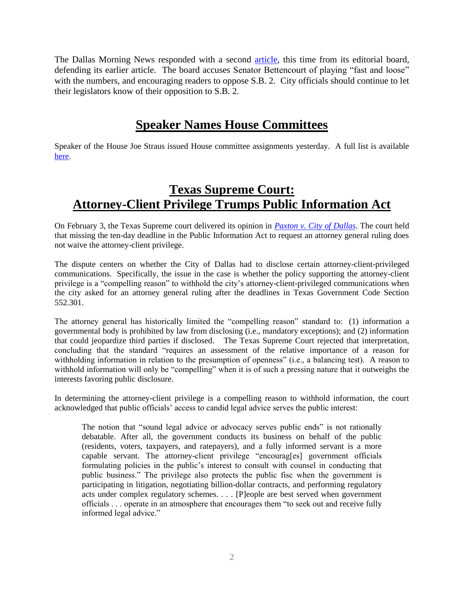The Dallas Morning News responded with a second [article,](http://www.dallasnews.com/opinion/editorials/2017/02/07/fall-misleading-stats-trying-push-heavy-handed-property-tax-bill) this time from its editorial board, defending its earlier article. The board accuses Senator Bettencourt of playing "fast and loose" with the numbers, and encouraging readers to oppose S.B. 2. City officials should continue to let their legislators know of their opposition to S.B. 2.

# **Speaker Names House Committees**

Speaker of the House Joe Straus issued House committee assignments yesterday. A full list is available [here.](http://www.house.texas.gov/_media/pdf/committee.pdf)

## **Texas Supreme Court: Attorney-Client Privilege Trumps Public Information Act**

On February 3, the Texas Supreme court delivered its opinion in *[Paxton v. City of Dallas](http://www.txcourts.gov/media/1437110/150073.pdf)*. The court held that missing the ten-day deadline in the Public Information Act to request an attorney general ruling does not waive the attorney-client privilege.

The dispute centers on whether the City of Dallas had to disclose certain attorney-client-privileged communications. Specifically, the issue in the case is whether the policy supporting the attorney-client privilege is a "compelling reason" to withhold the city's attorney-client-privileged communications when the city asked for an attorney general ruling after the deadlines in Texas Government Code Section 552.301.

The attorney general has historically limited the "compelling reason" standard to: (1) information a governmental body is prohibited by law from disclosing (i.e., mandatory exceptions); and (2) information that could jeopardize third parties if disclosed. The Texas Supreme Court rejected that interpretation, concluding that the standard "requires an assessment of the relative importance of a reason for withholding information in relation to the presumption of openness" (i.e., a balancing test). A reason to withhold information will only be "compelling" when it is of such a pressing nature that it outweighs the interests favoring public disclosure.

In determining the attorney-client privilege is a compelling reason to withhold information, the court acknowledged that public officials' access to candid legal advice serves the public interest:

The notion that "sound legal advice or advocacy serves public ends" is not rationally debatable. After all, the government conducts its business on behalf of the public (residents, voters, taxpayers, and ratepayers), and a fully informed servant is a more capable servant. The attorney-client privilege "encourag[es] government officials formulating policies in the public's interest to consult with counsel in conducting that public business." The privilege also protects the public fisc when the government is participating in litigation, negotiating billion-dollar contracts, and performing regulatory acts under complex regulatory schemes. . . . [P]eople are best served when government officials . . . operate in an atmosphere that encourages them "to seek out and receive fully informed legal advice."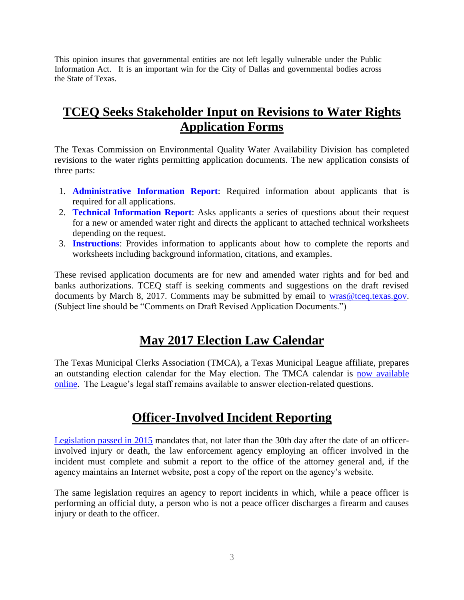This opinion insures that governmental entities are not left legally vulnerable under the Public Information Act. It is an important win for the City of Dallas and governmental bodies across the State of Texas.

## **TCEQ Seeks Stakeholder Input on Revisions to Water Rights Application Forms**

The Texas Commission on Environmental Quality Water Availability Division has completed revisions to the water rights permitting application documents. The new application consists of three parts:

- 1. **[Administrative Information Report](https://www.tceq.texas.gov/assets/public/permitting/watersupply/water_rights/administrative_information_checklist.pdf)**: Required information about applicants that is required for all applications.
- 2. **[Technical Information Report](https://www.tceq.texas.gov/assets/public/permitting/watersupply/water_rights/technical_information_report.pdf)**: Asks applicants a series of questions about their request for a new or amended water right and directs the applicant to attached technical worksheets depending on the request.
- 3. **[Instructions](https://www.tceq.texas.gov/assets/public/permitting/watersupply/water_rights/wr_instructions_permitting_app.pdf)**: Provides information to applicants about how to complete the reports and worksheets including background information, citations, and examples.

These revised application documents are for new and amended water rights and for bed and banks authorizations. TCEQ staff is seeking comments and suggestions on the draft revised documents by March 8, 2017. Comments may be submitted by email to [wras@tceq.texas.gov.](mailto:wras@tceq.texas.gov) (Subject line should be "Comments on Draft Revised Application Documents.")

## **May 2017 Election Law Calendar**

The Texas Municipal Clerks Association (TMCA), a Texas Municipal League affiliate, prepares an outstanding election calendar for the May election. The TMCA calendar is [now available](http://municlerks.unt.edu/pdf/2017_electioncalendar.pdf)  [online.](http://municlerks.unt.edu/pdf/2017_electioncalendar.pdf) The League's legal staff remains available to answer election-related questions.

## **Officer-Involved Incident Reporting**

[Legislation passed in 2015](http://www.capitol.state.tx.us/tlodocs/84R/billtext/pdf/HB01036F.pdf#navpanes=0) mandates that, not later than the 30th day after the date of an officerinvolved injury or death, the law enforcement agency employing an officer involved in the incident must complete and submit a report to the office of the attorney general and, if the agency maintains an Internet website, post a copy of the report on the agency's website.

The same legislation requires an agency to report incidents in which, while a peace officer is performing an official duty, a person who is not a peace officer discharges a firearm and causes injury or death to the officer.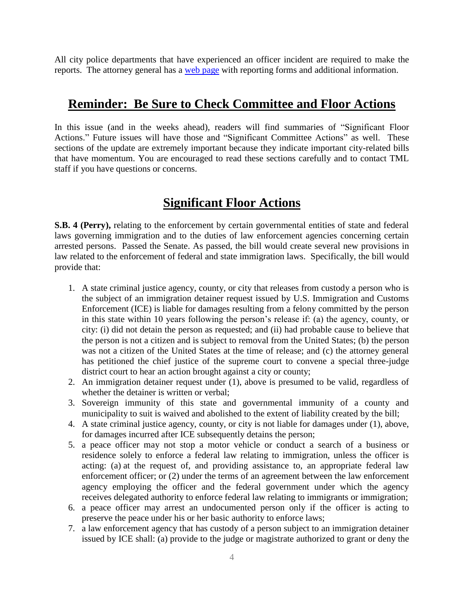All city police departments that have experienced an officer incident are required to make the reports. The attorney general has a [web page](https://www.texasattorneygeneral.gov/cj/peace-officer-involved-shooting-report) with reporting forms and additional information.

## **Reminder: Be Sure to Check Committee and Floor Actions**

In this issue (and in the weeks ahead), readers will find summaries of "Significant Floor Actions." Future issues will have those and "Significant Committee Actions" as well. These sections of the update are extremely important because they indicate important city-related bills that have momentum. You are encouraged to read these sections carefully and to contact TML staff if you have questions or concerns.

## **Significant Floor Actions**

**S.B. 4 (Perry),** relating to the enforcement by certain governmental entities of state and federal laws governing immigration and to the duties of law enforcement agencies concerning certain arrested persons. Passed the Senate. As passed, the bill would create several new provisions in law related to the enforcement of federal and state immigration laws. Specifically, the bill would provide that:

- 1. A state criminal justice agency, county, or city that releases from custody a person who is the subject of an immigration detainer request issued by U.S. Immigration and Customs Enforcement (ICE) is liable for damages resulting from a felony committed by the person in this state within 10 years following the person's release if: (a) the agency, county, or city: (i) did not detain the person as requested; and (ii) had probable cause to believe that the person is not a citizen and is subject to removal from the United States; (b) the person was not a citizen of the United States at the time of release; and (c) the attorney general has petitioned the chief justice of the supreme court to convene a special three-judge district court to hear an action brought against a city or county;
- 2. An immigration detainer request under (1), above is presumed to be valid, regardless of whether the detainer is written or verbal;
- 3. Sovereign immunity of this state and governmental immunity of a county and municipality to suit is waived and abolished to the extent of liability created by the bill;
- 4. A state criminal justice agency, county, or city is not liable for damages under (1), above, for damages incurred after ICE subsequently detains the person;
- 5. a peace officer may not stop a motor vehicle or conduct a search of a business or residence solely to enforce a federal law relating to immigration, unless the officer is acting: (a) at the request of, and providing assistance to, an appropriate federal law enforcement officer; or (2) under the terms of an agreement between the law enforcement agency employing the officer and the federal government under which the agency receives delegated authority to enforce federal law relating to immigrants or immigration;
- 6. a peace officer may arrest an undocumented person only if the officer is acting to preserve the peace under his or her basic authority to enforce laws;
- 7. a law enforcement agency that has custody of a person subject to an immigration detainer issued by ICE shall: (a) provide to the judge or magistrate authorized to grant or deny the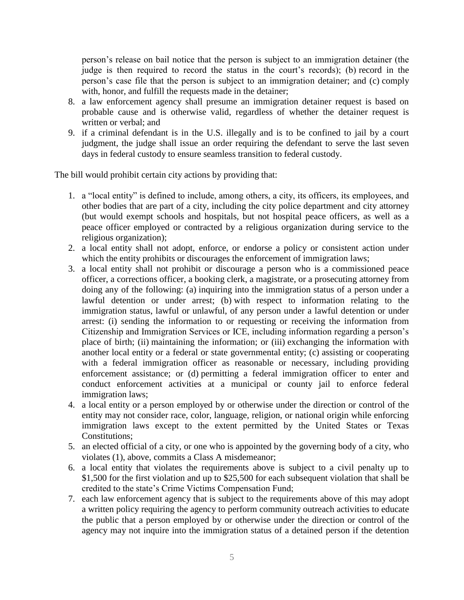person's release on bail notice that the person is subject to an immigration detainer (the judge is then required to record the status in the court's records); (b) record in the person's case file that the person is subject to an immigration detainer; and (c) comply with, honor, and fulfill the requests made in the detainer;

- 8. a law enforcement agency shall presume an immigration detainer request is based on probable cause and is otherwise valid, regardless of whether the detainer request is written or verbal; and
- 9. if a criminal defendant is in the U.S. illegally and is to be confined to jail by a court judgment, the judge shall issue an order requiring the defendant to serve the last seven days in federal custody to ensure seamless transition to federal custody.

The bill would prohibit certain city actions by providing that:

- 1. a "local entity" is defined to include, among others, a city, its officers, its employees, and other bodies that are part of a city, including the city police department and city attorney (but would exempt schools and hospitals, but not hospital peace officers, as well as a peace officer employed or contracted by a religious organization during service to the religious organization);
- 2. a local entity shall not adopt, enforce, or endorse a policy or consistent action under which the entity prohibits or discourages the enforcement of immigration laws;
- 3. a local entity shall not prohibit or discourage a person who is a commissioned peace officer, a corrections officer, a booking clerk, a magistrate, or a prosecuting attorney from doing any of the following: (a) inquiring into the immigration status of a person under a lawful detention or under arrest; (b) with respect to information relating to the immigration status, lawful or unlawful, of any person under a lawful detention or under arrest: (i) sending the information to or requesting or receiving the information from Citizenship and Immigration Services or ICE, including information regarding a person's place of birth; (ii) maintaining the information; or (iii) exchanging the information with another local entity or a federal or state governmental entity; (c) assisting or cooperating with a federal immigration officer as reasonable or necessary, including providing enforcement assistance; or (d) permitting a federal immigration officer to enter and conduct enforcement activities at a municipal or county jail to enforce federal immigration laws;
- 4. a local entity or a person employed by or otherwise under the direction or control of the entity may not consider race, color, language, religion, or national origin while enforcing immigration laws except to the extent permitted by the United States or Texas Constitutions;
- 5. an elected official of a city, or one who is appointed by the governing body of a city, who violates (1), above, commits a Class A misdemeanor;
- 6. a local entity that violates the requirements above is subject to a civil penalty up to \$1,500 for the first violation and up to \$25,500 for each subsequent violation that shall be credited to the state's Crime Victims Compensation Fund;
- 7. each law enforcement agency that is subject to the requirements above of this may adopt a written policy requiring the agency to perform community outreach activities to educate the public that a person employed by or otherwise under the direction or control of the agency may not inquire into the immigration status of a detained person if the detention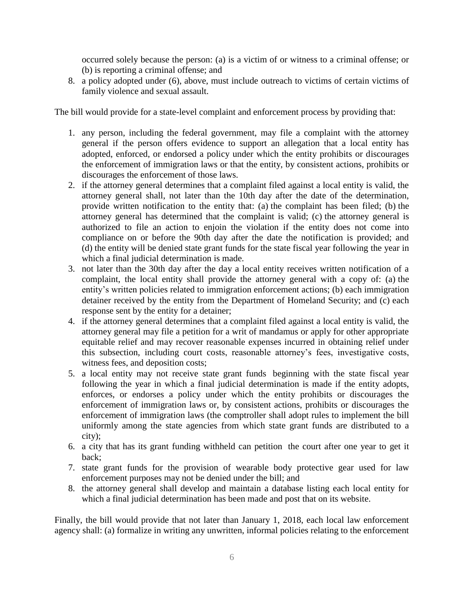occurred solely because the person: (a) is a victim of or witness to a criminal offense; or (b) is reporting a criminal offense; and

8. a policy adopted under (6), above, must include outreach to victims of certain victims of family violence and sexual assault.

The bill would provide for a state-level complaint and enforcement process by providing that:

- 1. any person, including the federal government, may file a complaint with the attorney general if the person offers evidence to support an allegation that a local entity has adopted, enforced, or endorsed a policy under which the entity prohibits or discourages the enforcement of immigration laws or that the entity, by consistent actions, prohibits or discourages the enforcement of those laws.
- 2. if the attorney general determines that a complaint filed against a local entity is valid, the attorney general shall, not later than the 10th day after the date of the determination, provide written notification to the entity that: (a) the complaint has been filed; (b) the attorney general has determined that the complaint is valid; (c) the attorney general is authorized to file an action to enjoin the violation if the entity does not come into compliance on or before the 90th day after the date the notification is provided; and (d) the entity will be denied state grant funds for the state fiscal year following the year in which a final judicial determination is made.
- 3. not later than the 30th day after the day a local entity receives written notification of a complaint, the local entity shall provide the attorney general with a copy of: (a) the entity's written policies related to immigration enforcement actions; (b) each immigration detainer received by the entity from the Department of Homeland Security; and (c) each response sent by the entity for a detainer;
- 4. if the attorney general determines that a complaint filed against a local entity is valid, the attorney general may file a petition for a writ of mandamus or apply for other appropriate equitable relief and may recover reasonable expenses incurred in obtaining relief under this subsection, including court costs, reasonable attorney's fees, investigative costs, witness fees, and deposition costs;
- 5. a local entity may not receive state grant funds beginning with the state fiscal year following the year in which a final judicial determination is made if the entity adopts, enforces, or endorses a policy under which the entity prohibits or discourages the enforcement of immigration laws or, by consistent actions, prohibits or discourages the enforcement of immigration laws (the comptroller shall adopt rules to implement the bill uniformly among the state agencies from which state grant funds are distributed to a city);
- 6. a city that has its grant funding withheld can petition the court after one year to get it back;
- 7. state grant funds for the provision of wearable body protective gear used for law enforcement purposes may not be denied under the bill; and
- 8. the attorney general shall develop and maintain a database listing each local entity for which a final judicial determination has been made and post that on its website.

Finally, the bill would provide that not later than January 1, 2018, each local law enforcement agency shall: (a) formalize in writing any unwritten, informal policies relating to the enforcement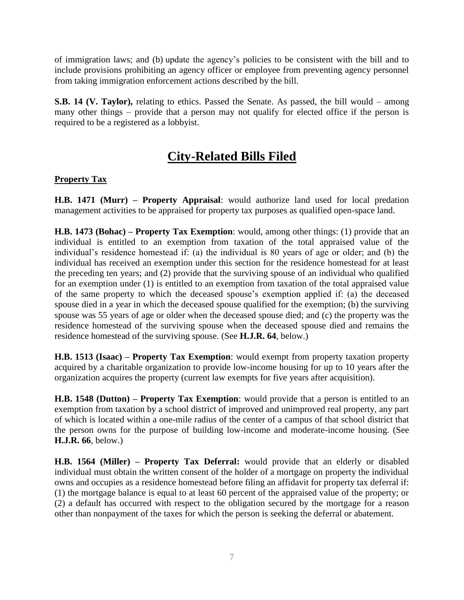of immigration laws; and (b) update the agency's policies to be consistent with the bill and to include provisions prohibiting an agency officer or employee from preventing agency personnel from taking immigration enforcement actions described by the bill.

S.B. 14 (V. Taylor), relating to ethics. Passed the Senate. As passed, the bill would – among many other things – provide that a person may not qualify for elected office if the person is required to be a registered as a lobbyist.

# **City-Related Bills Filed**

## **Property Tax**

**H.B. 1471 (Murr) – Property Appraisal**: would authorize land used for local predation management activities to be appraised for property tax purposes as qualified open-space land.

**H.B. 1473 (Bohac) – Property Tax Exemption**: would, among other things: (1) provide that an individual is entitled to an exemption from taxation of the total appraised value of the individual's residence homestead if: (a) the individual is 80 years of age or older; and (b) the individual has received an exemption under this section for the residence homestead for at least the preceding ten years; and (2) provide that the surviving spouse of an individual who qualified for an exemption under (1) is entitled to an exemption from taxation of the total appraised value of the same property to which the deceased spouse's exemption applied if: (a) the deceased spouse died in a year in which the deceased spouse qualified for the exemption; (b) the surviving spouse was 55 years of age or older when the deceased spouse died; and (c) the property was the residence homestead of the surviving spouse when the deceased spouse died and remains the residence homestead of the surviving spouse. (See **H.J.R. 64**, below.)

**H.B. 1513 (Isaac) – Property Tax Exemption**: would exempt from property taxation property acquired by a charitable organization to provide low-income housing for up to 10 years after the organization acquires the property (current law exempts for five years after acquisition).

**H.B. 1548 (Dutton) – Property Tax Exemption**: would provide that a person is entitled to an exemption from taxation by a school district of improved and unimproved real property, any part of which is located within a one-mile radius of the center of a campus of that school district that the person owns for the purpose of building low-income and moderate-income housing. (See **H.J.R. 66**, below.)

**H.B. 1564 (Miller) – Property Tax Deferral:** would provide that an elderly or disabled individual must obtain the written consent of the holder of a mortgage on property the individual owns and occupies as a residence homestead before filing an affidavit for property tax deferral if: (1) the mortgage balance is equal to at least 60 percent of the appraised value of the property; or (2) a default has occurred with respect to the obligation secured by the mortgage for a reason other than nonpayment of the taxes for which the person is seeking the deferral or abatement.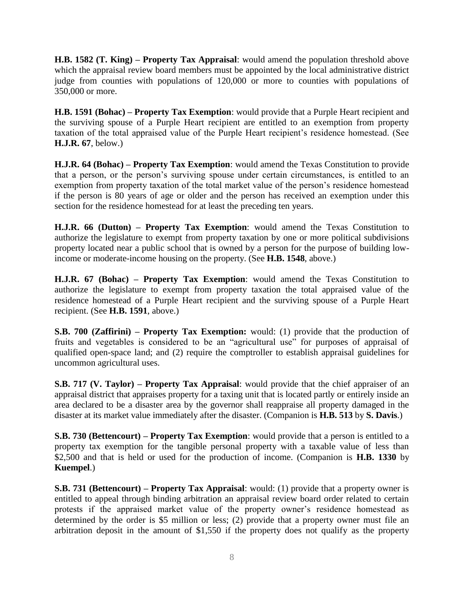**H.B. 1582 (T. King) – Property Tax Appraisal**: would amend the population threshold above which the appraisal review board members must be appointed by the local administrative district judge from counties with populations of 120,000 or more to counties with populations of 350,000 or more.

**H.B. 1591 (Bohac) – Property Tax Exemption**: would provide that a Purple Heart recipient and the surviving spouse of a Purple Heart recipient are entitled to an exemption from property taxation of the total appraised value of the Purple Heart recipient's residence homestead. (See **H.J.R. 67**, below.)

**H.J.R. 64 (Bohac) – Property Tax Exemption**: would amend the Texas Constitution to provide that a person, or the person's surviving spouse under certain circumstances, is entitled to an exemption from property taxation of the total market value of the person's residence homestead if the person is 80 years of age or older and the person has received an exemption under this section for the residence homestead for at least the preceding ten years.

**H.J.R. 66 (Dutton) – Property Tax Exemption**: would amend the Texas Constitution to authorize the legislature to exempt from property taxation by one or more political subdivisions property located near a public school that is owned by a person for the purpose of building lowincome or moderate-income housing on the property. (See **H.B. 1548**, above.)

**H.J.R. 67 (Bohac) – Property Tax Exemption**: would amend the Texas Constitution to authorize the legislature to exempt from property taxation the total appraised value of the residence homestead of a Purple Heart recipient and the surviving spouse of a Purple Heart recipient. (See **H.B. 1591**, above.)

**S.B. 700 (Zaffirini) – Property Tax Exemption:** would: (1) provide that the production of fruits and vegetables is considered to be an "agricultural use" for purposes of appraisal of qualified open-space land; and (2) require the comptroller to establish appraisal guidelines for uncommon agricultural uses.

**S.B. 717 (V. Taylor) – Property Tax Appraisal**: would provide that the chief appraiser of an appraisal district that appraises property for a taxing unit that is located partly or entirely inside an area declared to be a disaster area by the governor shall reappraise all property damaged in the disaster at its market value immediately after the disaster. (Companion is **H.B. 513** by **S. Davis**.)

**S.B. 730 (Bettencourt) – Property Tax Exemption**: would provide that a person is entitled to a property tax exemption for the tangible personal property with a taxable value of less than \$2,500 and that is held or used for the production of income. (Companion is **H.B. 1330** by **Kuempel**.)

**S.B. 731 (Bettencourt) – Property Tax Appraisal**: would: (1) provide that a property owner is entitled to appeal through binding arbitration an appraisal review board order related to certain protests if the appraised market value of the property owner's residence homestead as determined by the order is \$5 million or less; (2) provide that a property owner must file an arbitration deposit in the amount of \$1,550 if the property does not qualify as the property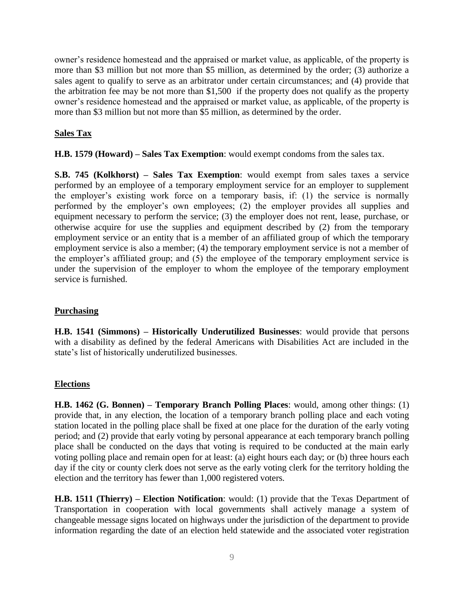owner's residence homestead and the appraised or market value, as applicable, of the property is more than \$3 million but not more than \$5 million, as determined by the order; (3) authorize a sales agent to qualify to serve as an arbitrator under certain circumstances; and (4) provide that the arbitration fee may be not more than \$1,500 if the property does not qualify as the property owner's residence homestead and the appraised or market value, as applicable, of the property is more than \$3 million but not more than \$5 million, as determined by the order.

### **Sales Tax**

**H.B. 1579 (Howard) – Sales Tax Exemption**: would exempt condoms from the sales tax.

**S.B. 745 (Kolkhorst) – Sales Tax Exemption**: would exempt from sales taxes a service performed by an employee of a temporary employment service for an employer to supplement the employer's existing work force on a temporary basis, if: (1) the service is normally performed by the employer's own employees; (2) the employer provides all supplies and equipment necessary to perform the service; (3) the employer does not rent, lease, purchase, or otherwise acquire for use the supplies and equipment described by (2) from the temporary employment service or an entity that is a member of an affiliated group of which the temporary employment service is also a member; (4) the temporary employment service is not a member of the employer's affiliated group; and (5) the employee of the temporary employment service is under the supervision of the employer to whom the employee of the temporary employment service is furnished.

#### **Purchasing**

**H.B. 1541 (Simmons) – Historically Underutilized Businesses**: would provide that persons with a disability as defined by the federal Americans with Disabilities Act are included in the state's list of historically underutilized businesses.

## **Elections**

**H.B. 1462 (G. Bonnen) – Temporary Branch Polling Places**: would, among other things: (1) provide that, in any election, the location of a temporary branch polling place and each voting station located in the polling place shall be fixed at one place for the duration of the early voting period; and (2) provide that early voting by personal appearance at each temporary branch polling place shall be conducted on the days that voting is required to be conducted at the main early voting polling place and remain open for at least: (a) eight hours each day; or (b) three hours each day if the city or county clerk does not serve as the early voting clerk for the territory holding the election and the territory has fewer than 1,000 registered voters.

**H.B. 1511 (Thierry) – Election Notification**: would: (1) provide that the Texas Department of Transportation in cooperation with local governments shall actively manage a system of changeable message signs located on highways under the jurisdiction of the department to provide information regarding the date of an election held statewide and the associated voter registration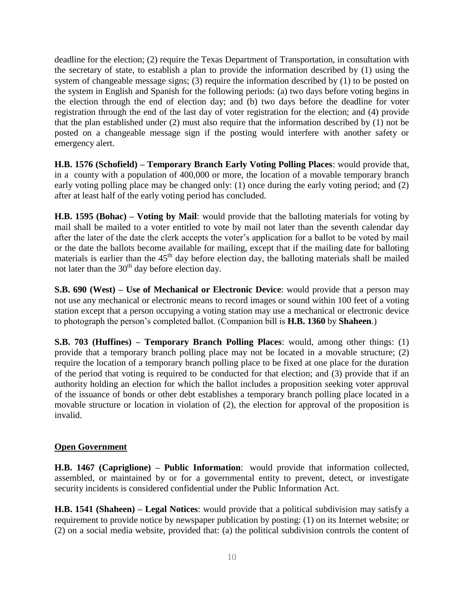deadline for the election; (2) require the Texas Department of Transportation, in consultation with the secretary of state, to establish a plan to provide the information described by (1) using the system of changeable message signs; (3) require the information described by (1) to be posted on the system in English and Spanish for the following periods: (a) two days before voting begins in the election through the end of election day; and (b) two days before the deadline for voter registration through the end of the last day of voter registration for the election; and (4) provide that the plan established under (2) must also require that the information described by (1) not be posted on a changeable message sign if the posting would interfere with another safety or emergency alert.

**H.B. 1576 (Schofield) – Temporary Branch Early Voting Polling Places**: would provide that, in a county with a population of 400,000 or more, the location of a movable temporary branch early voting polling place may be changed only: (1) once during the early voting period; and (2) after at least half of the early voting period has concluded.

**H.B. 1595 (Bohac) – Voting by Mail**: would provide that the balloting materials for voting by mail shall be mailed to a voter entitled to vote by mail not later than the seventh calendar day after the later of the date the clerk accepts the voter's application for a ballot to be voted by mail or the date the ballots become available for mailing, except that if the mailing date for balloting materials is earlier than the  $45<sup>th</sup>$  day before election day, the balloting materials shall be mailed not later than the  $30<sup>th</sup>$  day before election day.

**S.B. 690 (West) – Use of Mechanical or Electronic Device**: would provide that a person may not use any mechanical or electronic means to record images or sound within 100 feet of a voting station except that a person occupying a voting station may use a mechanical or electronic device to photograph the person's completed ballot. (Companion bill is **H.B. 1360** by **Shaheen**.)

**S.B. 703 (Huffines) – Temporary Branch Polling Places**: would, among other things: (1) provide that a temporary branch polling place may not be located in a movable structure; (2) require the location of a temporary branch polling place to be fixed at one place for the duration of the period that voting is required to be conducted for that election; and (3) provide that if an authority holding an election for which the ballot includes a proposition seeking voter approval of the issuance of bonds or other debt establishes a temporary branch polling place located in a movable structure or location in violation of (2), the election for approval of the proposition is invalid.

## **Open Government**

**H.B. 1467 (Capriglione) – Public Information**: would provide that information collected, assembled, or maintained by or for a governmental entity to prevent, detect, or investigate security incidents is considered confidential under the Public Information Act.

**H.B. 1541 (Shaheen) – Legal Notices**: would provide that a political subdivision may satisfy a requirement to provide notice by newspaper publication by posting: (1) on its Internet website; or (2) on a social media website, provided that: (a) the political subdivision controls the content of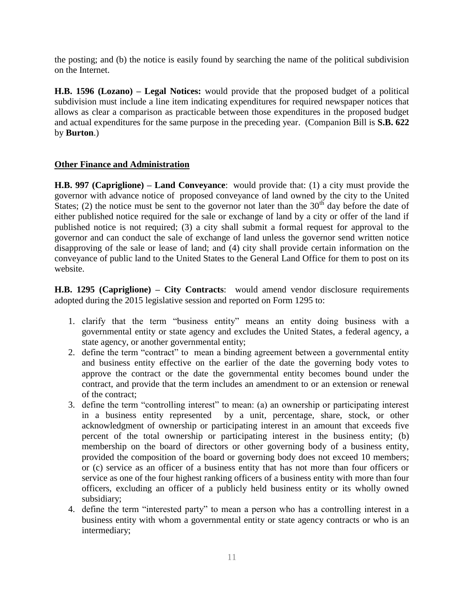the posting; and (b) the notice is easily found by searching the name of the political subdivision on the Internet.

**H.B. 1596 (Lozano) – Legal Notices:** would provide that the proposed budget of a political subdivision must include a line item indicating expenditures for required newspaper notices that allows as clear a comparison as practicable between those expenditures in the proposed budget and actual expenditures for the same purpose in the preceding year. (Companion Bill is **S.B. 622** by **Burton**.)

## **Other Finance and Administration**

**H.B. 997 (Capriglione) – Land Conveyance**: would provide that: (1) a city must provide the governor with advance notice of proposed conveyance of land owned by the city to the United States; (2) the notice must be sent to the governor not later than the  $30<sup>th</sup>$  day before the date of either published notice required for the sale or exchange of land by a city or offer of the land if published notice is not required; (3) a city shall submit a formal request for approval to the governor and can conduct the sale of exchange of land unless the governor send written notice disapproving of the sale or lease of land; and (4) city shall provide certain information on the conveyance of public land to the United States to the General Land Office for them to post on its website.

**H.B. 1295 (Capriglione) – City Contracts**: would amend vendor disclosure requirements adopted during the 2015 legislative session and reported on Form 1295 to:

- 1. clarify that the term "business entity" means an entity doing business with a governmental entity or state agency and excludes the United States, a federal agency, a state agency, or another governmental entity;
- 2. define the term "contract" to mean a binding agreement between a governmental entity and business entity effective on the earlier of the date the governing body votes to approve the contract or the date the governmental entity becomes bound under the contract, and provide that the term includes an amendment to or an extension or renewal of the contract;
- 3. define the term "controlling interest" to mean: (a) an ownership or participating interest in a business entity represented by a unit, percentage, share, stock, or other acknowledgment of ownership or participating interest in an amount that exceeds five percent of the total ownership or participating interest in the business entity; (b) membership on the board of directors or other governing body of a business entity, provided the composition of the board or governing body does not exceed 10 members; or (c) service as an officer of a business entity that has not more than four officers or service as one of the four highest ranking officers of a business entity with more than four officers, excluding an officer of a publicly held business entity or its wholly owned subsidiary;
- 4. define the term "interested party" to mean a person who has a controlling interest in a business entity with whom a governmental entity or state agency contracts or who is an intermediary;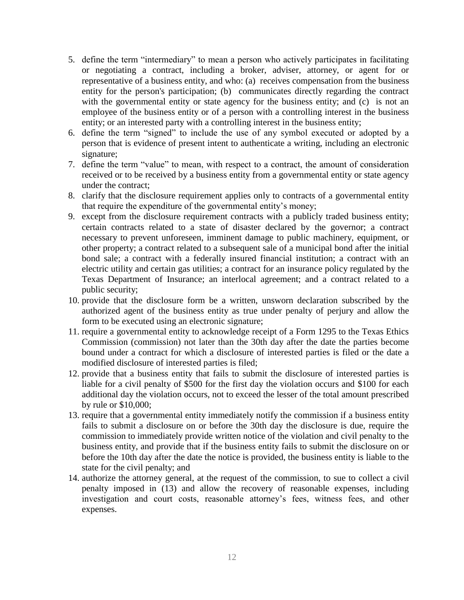- 5. define the term "intermediary" to mean a person who actively participates in facilitating or negotiating a contract, including a broker, adviser, attorney, or agent for or representative of a business entity, and who: (a) receives compensation from the business entity for the person's participation; (b) communicates directly regarding the contract with the governmental entity or state agency for the business entity; and (c) is not an employee of the business entity or of a person with a controlling interest in the business entity; or an interested party with a controlling interest in the business entity;
- 6. define the term "signed" to include the use of any symbol executed or adopted by a person that is evidence of present intent to authenticate a writing, including an electronic signature;
- 7. define the term "value" to mean, with respect to a contract, the amount of consideration received or to be received by a business entity from a governmental entity or state agency under the contract;
- 8. clarify that the disclosure requirement applies only to contracts of a governmental entity that require the expenditure of the governmental entity's money;
- 9. except from the disclosure requirement contracts with a publicly traded business entity; certain contracts related to a state of disaster declared by the governor; a contract necessary to prevent unforeseen, imminent damage to public machinery, equipment, or other property; a contract related to a subsequent sale of a municipal bond after the initial bond sale; a contract with a federally insured financial institution; a contract with an electric utility and certain gas utilities; a contract for an insurance policy regulated by the Texas Department of Insurance; an interlocal agreement; and a contract related to a public security;
- 10. provide that the disclosure form be a written, unsworn declaration subscribed by the authorized agent of the business entity as true under penalty of perjury and allow the form to be executed using an electronic signature;
- 11. require a governmental entity to acknowledge receipt of a Form 1295 to the Texas Ethics Commission (commission) not later than the 30th day after the date the parties become bound under a contract for which a disclosure of interested parties is filed or the date a modified disclosure of interested parties is filed;
- 12. provide that a business entity that fails to submit the disclosure of interested parties is liable for a civil penalty of \$500 for the first day the violation occurs and \$100 for each additional day the violation occurs, not to exceed the lesser of the total amount prescribed by rule or \$10,000;
- 13. require that a governmental entity immediately notify the commission if a business entity fails to submit a disclosure on or before the 30th day the disclosure is due, require the commission to immediately provide written notice of the violation and civil penalty to the business entity, and provide that if the business entity fails to submit the disclosure on or before the 10th day after the date the notice is provided, the business entity is liable to the state for the civil penalty; and
- 14. authorize the attorney general, at the request of the commission, to sue to collect a civil penalty imposed in (13) and allow the recovery of reasonable expenses, including investigation and court costs, reasonable attorney's fees, witness fees, and other expenses.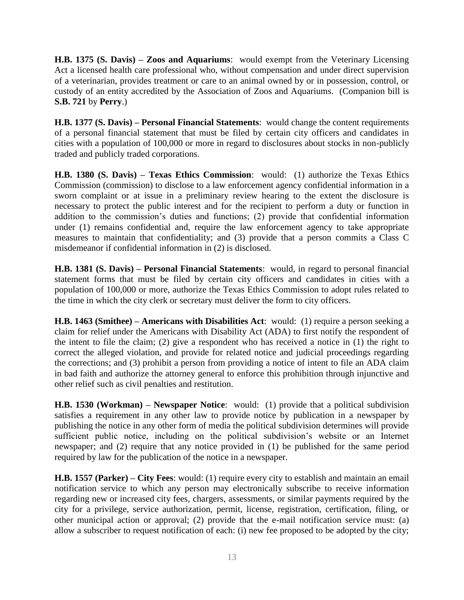**H.B. 1375 (S. Davis) – Zoos and Aquariums**: would exempt from the Veterinary Licensing Act a licensed health care professional who, without compensation and under direct supervision of a veterinarian, provides treatment or care to an animal owned by or in possession, control, or custody of an entity accredited by the Association of Zoos and Aquariums. (Companion bill is **S.B. 721** by **Perry**.)

**H.B. 1377 (S. Davis) – Personal Financial Statements**: would change the content requirements of a personal financial statement that must be filed by certain city officers and candidates in cities with a population of 100,000 or more in regard to disclosures about stocks in non-publicly traded and publicly traded corporations.

**H.B. 1380 (S. Davis) – Texas Ethics Commission**: would: (1) authorize the Texas Ethics Commission (commission) to disclose to a law enforcement agency confidential information in a sworn complaint or at issue in a preliminary review hearing to the extent the disclosure is necessary to protect the public interest and for the recipient to perform a duty or function in addition to the commission's duties and functions; (2) provide that confidential information under (1) remains confidential and, require the law enforcement agency to take appropriate measures to maintain that confidentiality; and (3) provide that a person commits a Class C misdemeanor if confidential information in (2) is disclosed.

**H.B. 1381 (S. Davis) – Personal Financial Statements**: would, in regard to personal financial statement forms that must be filed by certain city officers and candidates in cities with a population of 100,000 or more, authorize the Texas Ethics Commission to adopt rules related to the time in which the city clerk or secretary must deliver the form to city officers.

**H.B. 1463 (Smithee) – Americans with Disabilities Act**: would: (1) require a person seeking a claim for relief under the Americans with Disability Act (ADA) to first notify the respondent of the intent to file the claim; (2) give a respondent who has received a notice in (1) the right to correct the alleged violation, and provide for related notice and judicial proceedings regarding the corrections; and (3) prohibit a person from providing a notice of intent to file an ADA claim in bad faith and authorize the attorney general to enforce this prohibition through injunctive and other relief such as civil penalties and restitution.

**H.B. 1530 (Workman) – Newspaper Notice**: would: (1) provide that a political subdivision satisfies a requirement in any other law to provide notice by publication in a newspaper by publishing the notice in any other form of media the political subdivision determines will provide sufficient public notice, including on the political subdivision's website or an Internet newspaper; and (2) require that any notice provided in (1) be published for the same period required by law for the publication of the notice in a newspaper.

**H.B. 1557 (Parker) – City Fees**: would: (1) require every city to establish and maintain an email notification service to which any person may electronically subscribe to receive information regarding new or increased city fees, chargers, assessments, or similar payments required by the city for a privilege, service authorization, permit, license, registration, certification, filing, or other municipal action or approval; (2) provide that the e-mail notification service must: (a) allow a subscriber to request notification of each: (i) new fee proposed to be adopted by the city;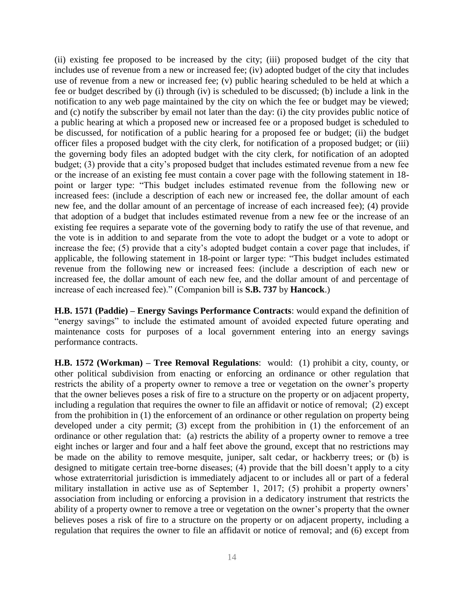(ii) existing fee proposed to be increased by the city; (iii) proposed budget of the city that includes use of revenue from a new or increased fee; (iv) adopted budget of the city that includes use of revenue from a new or increased fee; (v) public hearing scheduled to be held at which a fee or budget described by (i) through (iv) is scheduled to be discussed; (b) include a link in the notification to any web page maintained by the city on which the fee or budget may be viewed; and (c) notify the subscriber by email not later than the day: (i) the city provides public notice of a public hearing at which a proposed new or increased fee or a proposed budget is scheduled to be discussed, for notification of a public hearing for a proposed fee or budget; (ii) the budget officer files a proposed budget with the city clerk, for notification of a proposed budget; or (iii) the governing body files an adopted budget with the city clerk, for notification of an adopted budget; (3) provide that a city's proposed budget that includes estimated revenue from a new fee or the increase of an existing fee must contain a cover page with the following statement in 18 point or larger type: "This budget includes estimated revenue from the following new or increased fees: (include a description of each new or increased fee, the dollar amount of each new fee, and the dollar amount of an percentage of increase of each increased fee); (4) provide that adoption of a budget that includes estimated revenue from a new fee or the increase of an existing fee requires a separate vote of the governing body to ratify the use of that revenue, and the vote is in addition to and separate from the vote to adopt the budget or a vote to adopt or increase the fee; (5) provide that a city's adopted budget contain a cover page that includes, if applicable, the following statement in 18-point or larger type: "This budget includes estimated revenue from the following new or increased fees: (include a description of each new or increased fee, the dollar amount of each new fee, and the dollar amount of and percentage of increase of each increased fee)." (Companion bill is **S.B. 737** by **Hancock**.)

**H.B. 1571 (Paddie) – Energy Savings Performance Contracts**: would expand the definition of "energy savings" to include the estimated amount of avoided expected future operating and maintenance costs for purposes of a local government entering into an energy savings performance contracts.

**H.B. 1572 (Workman) – Tree Removal Regulations**: would: (1) prohibit a city, county, or other political subdivision from enacting or enforcing an ordinance or other regulation that restricts the ability of a property owner to remove a tree or vegetation on the owner's property that the owner believes poses a risk of fire to a structure on the property or on adjacent property, including a regulation that requires the owner to file an affidavit or notice of removal; (2) except from the prohibition in (1) the enforcement of an ordinance or other regulation on property being developed under a city permit; (3) except from the prohibition in (1) the enforcement of an ordinance or other regulation that: (a) restricts the ability of a property owner to remove a tree eight inches or larger and four and a half feet above the ground, except that no restrictions may be made on the ability to remove mesquite, juniper, salt cedar, or hackberry trees; or (b) is designed to mitigate certain tree-borne diseases; (4) provide that the bill doesn't apply to a city whose extraterritorial jurisdiction is immediately adjacent to or includes all or part of a federal military installation in active use as of September 1, 2017; (5) prohibit a property owners' association from including or enforcing a provision in a dedicatory instrument that restricts the ability of a property owner to remove a tree or vegetation on the owner's property that the owner believes poses a risk of fire to a structure on the property or on adjacent property, including a regulation that requires the owner to file an affidavit or notice of removal; and (6) except from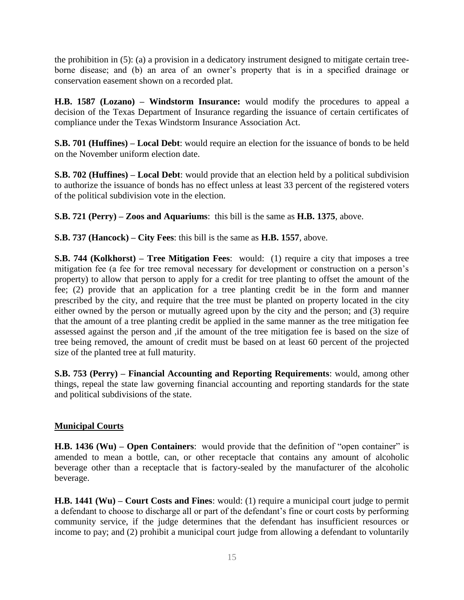the prohibition in (5): (a) a provision in a dedicatory instrument designed to mitigate certain treeborne disease; and (b) an area of an owner's property that is in a specified drainage or conservation easement shown on a recorded plat.

**H.B. 1587 (Lozano) – Windstorm Insurance:** would modify the procedures to appeal a decision of the Texas Department of Insurance regarding the issuance of certain certificates of compliance under the Texas Windstorm Insurance Association Act.

**S.B. 701 (Huffines) – Local Debt**: would require an election for the issuance of bonds to be held on the November uniform election date.

**S.B. 702 (Huffines) – Local Debt**: would provide that an election held by a political subdivision to authorize the issuance of bonds has no effect unless at least 33 percent of the registered voters of the political subdivision vote in the election.

**S.B. 721 (Perry) – Zoos and Aquariums**: this bill is the same as **H.B. 1375**, above.

**S.B. 737 (Hancock) – City Fees**: this bill is the same as **H.B. 1557**, above.

**S.B. 744 (Kolkhorst) – Tree Mitigation Fees**: would: (1) require a city that imposes a tree mitigation fee (a fee for tree removal necessary for development or construction on a person's property) to allow that person to apply for a credit for tree planting to offset the amount of the fee; (2) provide that an application for a tree planting credit be in the form and manner prescribed by the city, and require that the tree must be planted on property located in the city either owned by the person or mutually agreed upon by the city and the person; and (3) require that the amount of a tree planting credit be applied in the same manner as the tree mitigation fee assessed against the person and ,if the amount of the tree mitigation fee is based on the size of tree being removed, the amount of credit must be based on at least 60 percent of the projected size of the planted tree at full maturity.

**S.B. 753 (Perry) – Financial Accounting and Reporting Requirements**: would, among other things, repeal the state law governing financial accounting and reporting standards for the state and political subdivisions of the state.

## **Municipal Courts**

**H.B. 1436 (Wu) – Open Containers**: would provide that the definition of "open container" is amended to mean a bottle, can, or other receptacle that contains any amount of alcoholic beverage other than a receptacle that is factory-sealed by the manufacturer of the alcoholic beverage.

**H.B. 1441 (Wu) – Court Costs and Fines**: would: (1) require a municipal court judge to permit a defendant to choose to discharge all or part of the defendant's fine or court costs by performing community service, if the judge determines that the defendant has insufficient resources or income to pay; and (2) prohibit a municipal court judge from allowing a defendant to voluntarily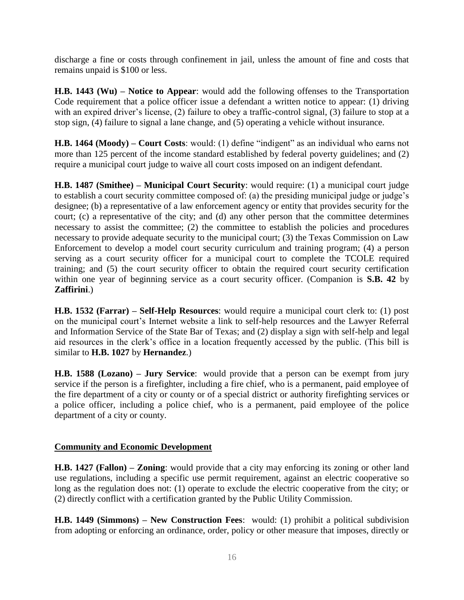discharge a fine or costs through confinement in jail, unless the amount of fine and costs that remains unpaid is \$100 or less.

**H.B. 1443 (Wu) – Notice to Appear**: would add the following offenses to the Transportation Code requirement that a police officer issue a defendant a written notice to appear: (1) driving with an expired driver's license, (2) failure to obey a traffic-control signal, (3) failure to stop at a stop sign, (4) failure to signal a lane change, and (5) operating a vehicle without insurance.

**H.B. 1464 (Moody) – Court Costs**: would: (1) define "indigent" as an individual who earns not more than 125 percent of the income standard established by federal poverty guidelines; and (2) require a municipal court judge to waive all court costs imposed on an indigent defendant.

**H.B. 1487 (Smithee) – Municipal Court Security**: would require: (1) a municipal court judge to establish a court security committee composed of: (a) the presiding municipal judge or judge's designee; (b) a representative of a law enforcement agency or entity that provides security for the court; (c) a representative of the city; and (d) any other person that the committee determines necessary to assist the committee; (2) the committee to establish the policies and procedures necessary to provide adequate security to the municipal court; (3) the Texas Commission on Law Enforcement to develop a model court security curriculum and training program; (4) a person serving as a court security officer for a municipal court to complete the TCOLE required training; and (5) the court security officer to obtain the required court security certification within one year of beginning service as a court security officer. (Companion is **S.B. 42** by **Zaffirini**.)

**H.B. 1532 (Farrar) – Self-Help Resources**: would require a municipal court clerk to: (1) post on the municipal court's Internet website a link to self-help resources and the Lawyer Referral and Information Service of the State Bar of Texas; and (2) display a sign with self-help and legal aid resources in the clerk's office in a location frequently accessed by the public. (This bill is similar to **H.B. 1027** by **Hernandez**.)

**H.B. 1588 (Lozano) – Jury Service**: would provide that a person can be exempt from jury service if the person is a firefighter, including a fire chief, who is a permanent, paid employee of the fire department of a city or county or of a special district or authority firefighting services or a police officer, including a police chief, who is a permanent, paid employee of the police department of a city or county.

## **Community and Economic Development**

**H.B. 1427 (Fallon) – Zoning**: would provide that a city may enforcing its zoning or other land use regulations, including a specific use permit requirement, against an electric cooperative so long as the regulation does not: (1) operate to exclude the electric cooperative from the city; or (2) directly conflict with a certification granted by the Public Utility Commission.

**H.B. 1449 (Simmons) – New Construction Fees**: would: (1) prohibit a political subdivision from adopting or enforcing an ordinance, order, policy or other measure that imposes, directly or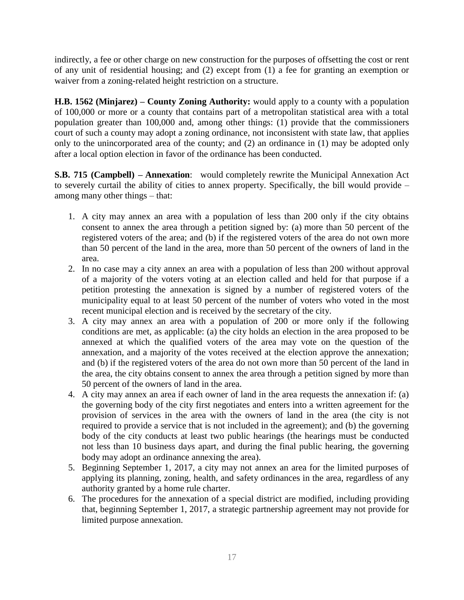indirectly, a fee or other charge on new construction for the purposes of offsetting the cost or rent of any unit of residential housing; and (2) except from (1) a fee for granting an exemption or waiver from a zoning-related height restriction on a structure.

**H.B. 1562 (Minjarez) – County Zoning Authority:** would apply to a county with a population of 100,000 or more or a county that contains part of a metropolitan statistical area with a total population greater than 100,000 and, among other things: (1) provide that the commissioners court of such a county may adopt a zoning ordinance, not inconsistent with state law, that applies only to the unincorporated area of the county; and (2) an ordinance in (1) may be adopted only after a local option election in favor of the ordinance has been conducted.

**S.B. 715 (Campbell) – Annexation**: would completely rewrite the Municipal Annexation Act to severely curtail the ability of cities to annex property. Specifically, the bill would provide – among many other things – that:

- 1. A city may annex an area with a population of less than 200 only if the city obtains consent to annex the area through a petition signed by: (a) more than 50 percent of the registered voters of the area; and (b) if the registered voters of the area do not own more than 50 percent of the land in the area, more than 50 percent of the owners of land in the area.
- 2. In no case may a city annex an area with a population of less than 200 without approval of a majority of the voters voting at an election called and held for that purpose if a petition protesting the annexation is signed by a number of registered voters of the municipality equal to at least 50 percent of the number of voters who voted in the most recent municipal election and is received by the secretary of the city.
- 3. A city may annex an area with a population of 200 or more only if the following conditions are met, as applicable: (a) the city holds an election in the area proposed to be annexed at which the qualified voters of the area may vote on the question of the annexation, and a majority of the votes received at the election approve the annexation; and (b) if the registered voters of the area do not own more than 50 percent of the land in the area, the city obtains consent to annex the area through a petition signed by more than 50 percent of the owners of land in the area.
- 4. A city may annex an area if each owner of land in the area requests the annexation if: (a) the governing body of the city first negotiates and enters into a written agreement for the provision of services in the area with the owners of land in the area (the city is not required to provide a service that is not included in the agreement); and (b) the governing body of the city conducts at least two public hearings (the hearings must be conducted not less than 10 business days apart, and during the final public hearing, the governing body may adopt an ordinance annexing the area).
- 5. Beginning September 1, 2017, a city may not annex an area for the limited purposes of applying its planning, zoning, health, and safety ordinances in the area, regardless of any authority granted by a home rule charter.
- 6. The procedures for the annexation of a special district are modified, including providing that, beginning September 1, 2017, a strategic partnership agreement may not provide for limited purpose annexation.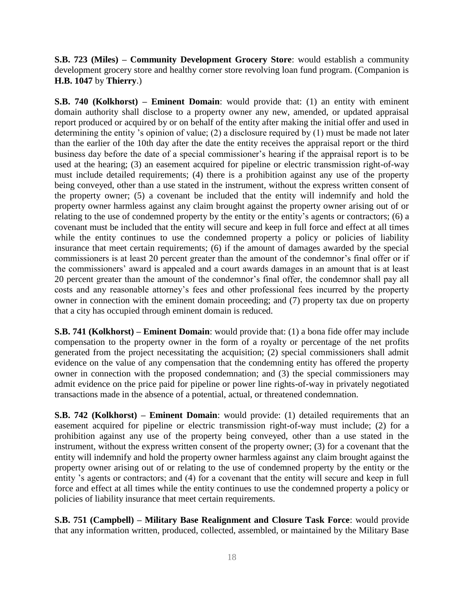**S.B. 723 (Miles) – Community Development Grocery Store**: would establish a community development grocery store and healthy corner store revolving loan fund program. (Companion is **H.B. 1047** by **Thierry**.)

**S.B. 740 (Kolkhorst) – Eminent Domain**: would provide that: (1) an entity with eminent domain authority shall disclose to a property owner any new, amended, or updated appraisal report produced or acquired by or on behalf of the entity after making the initial offer and used in determining the entity 's opinion of value; (2) a disclosure required by (1) must be made not later than the earlier of the 10th day after the date the entity receives the appraisal report or the third business day before the date of a special commissioner's hearing if the appraisal report is to be used at the hearing; (3) an easement acquired for pipeline or electric transmission right-of-way must include detailed requirements; (4) there is a prohibition against any use of the property being conveyed, other than a use stated in the instrument, without the express written consent of the property owner; (5) a covenant be included that the entity will indemnify and hold the property owner harmless against any claim brought against the property owner arising out of or relating to the use of condemned property by the entity or the entity's agents or contractors; (6) a covenant must be included that the entity will secure and keep in full force and effect at all times while the entity continues to use the condemned property a policy or policies of liability insurance that meet certain requirements; (6) if the amount of damages awarded by the special commissioners is at least 20 percent greater than the amount of the condemnor's final offer or if the commissioners' award is appealed and a court awards damages in an amount that is at least 20 percent greater than the amount of the condemnor's final offer, the condemnor shall pay all costs and any reasonable attorney's fees and other professional fees incurred by the property owner in connection with the eminent domain proceeding; and (7) property tax due on property that a city has occupied through eminent domain is reduced.

**S.B. 741 (Kolkhorst) – Eminent Domain**: would provide that: (1) a bona fide offer may include compensation to the property owner in the form of a royalty or percentage of the net profits generated from the project necessitating the acquisition; (2) special commissioners shall admit evidence on the value of any compensation that the condemning entity has offered the property owner in connection with the proposed condemnation; and (3) the special commissioners may admit evidence on the price paid for pipeline or power line rights-of-way in privately negotiated transactions made in the absence of a potential, actual, or threatened condemnation.

**S.B. 742 (Kolkhorst) – Eminent Domain**: would provide: (1) detailed requirements that an easement acquired for pipeline or electric transmission right-of-way must include; (2) for a prohibition against any use of the property being conveyed, other than a use stated in the instrument, without the express written consent of the property owner; (3) for a covenant that the entity will indemnify and hold the property owner harmless against any claim brought against the property owner arising out of or relating to the use of condemned property by the entity or the entity 's agents or contractors; and (4) for a covenant that the entity will secure and keep in full force and effect at all times while the entity continues to use the condemned property a policy or policies of liability insurance that meet certain requirements.

**S.B. 751 (Campbell) – Military Base Realignment and Closure Task Force**: would provide that any information written, produced, collected, assembled, or maintained by the Military Base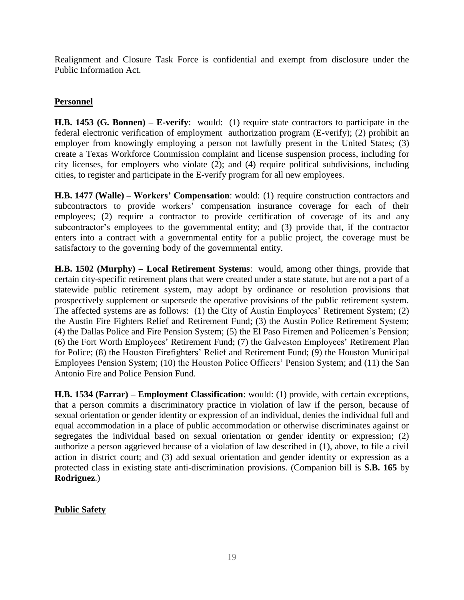Realignment and Closure Task Force is confidential and exempt from disclosure under the Public Information Act.

## **Personnel**

**H.B. 1453 (G. Bonnen) – E-verify**: would: (1) require state contractors to participate in the federal electronic verification of employment authorization program (E-verify); (2) prohibit an employer from knowingly employing a person not lawfully present in the United States; (3) create a Texas Workforce Commission complaint and license suspension process, including for city licenses, for employers who violate (2); and (4) require political subdivisions, including cities, to register and participate in the E-verify program for all new employees.

**H.B. 1477 (Walle) – Workers' Compensation**: would: (1) require construction contractors and subcontractors to provide workers' compensation insurance coverage for each of their employees; (2) require a contractor to provide certification of coverage of its and any subcontractor's employees to the governmental entity; and (3) provide that, if the contractor enters into a contract with a governmental entity for a public project, the coverage must be satisfactory to the governing body of the governmental entity.

**H.B. 1502 (Murphy) – Local Retirement Systems**: would, among other things, provide that certain city-specific retirement plans that were created under a state statute, but are not a part of a statewide public retirement system, may adopt by ordinance or resolution provisions that prospectively supplement or supersede the operative provisions of the public retirement system. The affected systems are as follows: (1) the City of Austin Employees' Retirement System; (2) the Austin Fire Fighters Relief and Retirement Fund; (3) the Austin Police Retirement System; (4) the Dallas Police and Fire Pension System; (5) the El Paso Firemen and Policemen's Pension; (6) the Fort Worth Employees' Retirement Fund; (7) the Galveston Employees' Retirement Plan for Police; (8) the Houston Firefighters' Relief and Retirement Fund; (9) the Houston Municipal Employees Pension System; (10) the Houston Police Officers' Pension System; and (11) the San Antonio Fire and Police Pension Fund.

**H.B. 1534 (Farrar) – Employment Classification**: would: (1) provide, with certain exceptions, that a person commits a discriminatory practice in violation of law if the person, because of sexual orientation or gender identity or expression of an individual, denies the individual full and equal accommodation in a place of public accommodation or otherwise discriminates against or segregates the individual based on sexual orientation or gender identity or expression; (2) authorize a person aggrieved because of a violation of law described in (1), above, to file a civil action in district court; and (3) add sexual orientation and gender identity or expression as a protected class in existing state anti-discrimination provisions. (Companion bill is **S.B. 165** by **Rodriguez**.)

## **Public Safety**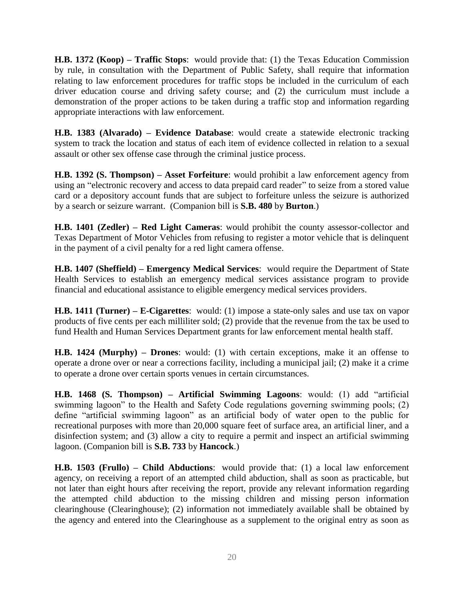**H.B. 1372 (Koop) – Traffic Stops**: would provide that: (1) the Texas Education Commission by rule, in consultation with the Department of Public Safety, shall require that information relating to law enforcement procedures for traffic stops be included in the curriculum of each driver education course and driving safety course; and (2) the curriculum must include a demonstration of the proper actions to be taken during a traffic stop and information regarding appropriate interactions with law enforcement.

**H.B. 1383 (Alvarado) – Evidence Database**: would create a statewide electronic tracking system to track the location and status of each item of evidence collected in relation to a sexual assault or other sex offense case through the criminal justice process.

**H.B. 1392 (S. Thompson) – Asset Forfeiture**: would prohibit a law enforcement agency from using an "electronic recovery and access to data prepaid card reader" to seize from a stored value card or a depository account funds that are subject to forfeiture unless the seizure is authorized by a search or seizure warrant. (Companion bill is **S.B. 480** by **Burton**.)

**H.B. 1401 (Zedler) – Red Light Cameras**: would prohibit the county assessor-collector and Texas Department of Motor Vehicles from refusing to register a motor vehicle that is delinquent in the payment of a civil penalty for a red light camera offense.

**H.B. 1407 (Sheffield) – Emergency Medical Services**: would require the Department of State Health Services to establish an emergency medical services assistance program to provide financial and educational assistance to eligible emergency medical services providers.

**H.B. 1411 (Turner) – E-Cigarettes**: would: (1) impose a state-only sales and use tax on vapor products of five cents per each milliliter sold; (2) provide that the revenue from the tax be used to fund Health and Human Services Department grants for law enforcement mental health staff.

**H.B. 1424 (Murphy) – Drones**: would: (1) with certain exceptions, make it an offense to operate a drone over or near a corrections facility, including a municipal jail; (2) make it a crime to operate a drone over certain sports venues in certain circumstances.

**H.B. 1468 (S. Thompson) – Artificial Swimming Lagoons**: would: (1) add "artificial swimming lagoon" to the Health and Safety Code regulations governing swimming pools; (2) define "artificial swimming lagoon" as an artificial body of water open to the public for recreational purposes with more than 20,000 square feet of surface area, an artificial liner, and a disinfection system; and (3) allow a city to require a permit and inspect an artificial swimming lagoon. (Companion bill is **S.B. 733** by **Hancock**.)

**H.B. 1503 (Frullo) – Child Abductions**: would provide that: (1) a local law enforcement agency, on receiving a report of an attempted child abduction, shall as soon as practicable, but not later than eight hours after receiving the report, provide any relevant information regarding the attempted child abduction to the missing children and missing person information clearinghouse (Clearinghouse); (2) information not immediately available shall be obtained by the agency and entered into the Clearinghouse as a supplement to the original entry as soon as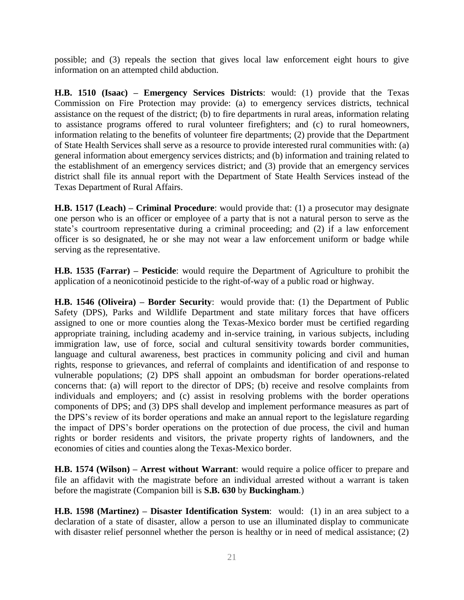possible; and (3) repeals the section that gives local law enforcement eight hours to give information on an attempted child abduction.

**H.B. 1510 (Isaac) – Emergency Services Districts**: would: (1) provide that the Texas Commission on Fire Protection may provide: (a) to emergency services districts, technical assistance on the request of the district; (b) to fire departments in rural areas, information relating to assistance programs offered to rural volunteer firefighters; and (c) to rural homeowners, information relating to the benefits of volunteer fire departments; (2) provide that the Department of State Health Services shall serve as a resource to provide interested rural communities with: (a) general information about emergency services districts; and (b) information and training related to the establishment of an emergency services district; and (3) provide that an emergency services district shall file its annual report with the Department of State Health Services instead of the Texas Department of Rural Affairs.

**H.B. 1517 (Leach) – Criminal Procedure**: would provide that: (1) a prosecutor may designate one person who is an officer or employee of a party that is not a natural person to serve as the state's courtroom representative during a criminal proceeding; and (2) if a law enforcement officer is so designated, he or she may not wear a law enforcement uniform or badge while serving as the representative.

**H.B. 1535 (Farrar) – Pesticide**: would require the Department of Agriculture to prohibit the application of a neonicotinoid pesticide to the right-of-way of a public road or highway.

**H.B. 1546 (Oliveira) – Border Security**: would provide that: (1) the Department of Public Safety (DPS), Parks and Wildlife Department and state military forces that have officers assigned to one or more counties along the Texas-Mexico border must be certified regarding appropriate training, including academy and in-service training, in various subjects, including immigration law, use of force, social and cultural sensitivity towards border communities, language and cultural awareness, best practices in community policing and civil and human rights, response to grievances, and referral of complaints and identification of and response to vulnerable populations; (2) DPS shall appoint an ombudsman for border operations-related concerns that: (a) will report to the director of DPS; (b) receive and resolve complaints from individuals and employers; and (c) assist in resolving problems with the border operations components of DPS; and (3) DPS shall develop and implement performance measures as part of the DPS's review of its border operations and make an annual report to the legislature regarding the impact of DPS's border operations on the protection of due process, the civil and human rights or border residents and visitors, the private property rights of landowners, and the economies of cities and counties along the Texas-Mexico border.

**H.B. 1574 (Wilson) – Arrest without Warrant**: would require a police officer to prepare and file an affidavit with the magistrate before an individual arrested without a warrant is taken before the magistrate (Companion bill is **S.B. 630** by **Buckingham**.)

**H.B. 1598 (Martinez) – Disaster Identification System**: would: (1) in an area subject to a declaration of a state of disaster, allow a person to use an illuminated display to communicate with disaster relief personnel whether the person is healthy or in need of medical assistance; (2)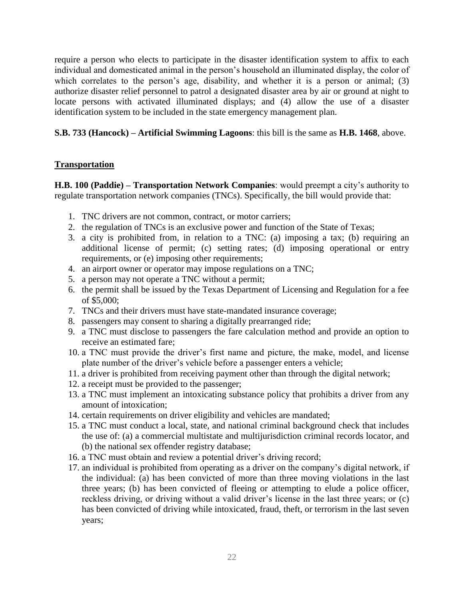require a person who elects to participate in the disaster identification system to affix to each individual and domesticated animal in the person's household an illuminated display, the color of which correlates to the person's age, disability, and whether it is a person or animal; (3) authorize disaster relief personnel to patrol a designated disaster area by air or ground at night to locate persons with activated illuminated displays; and (4) allow the use of a disaster identification system to be included in the state emergency management plan.

**S.B. 733 (Hancock) – Artificial Swimming Lagoons**: this bill is the same as **H.B. 1468**, above.

## **Transportation**

**H.B. 100 (Paddie) – Transportation Network Companies**: would preempt a city's authority to regulate transportation network companies (TNCs). Specifically, the bill would provide that:

- 1. TNC drivers are not common, contract, or motor carriers;
- 2. the regulation of TNCs is an exclusive power and function of the State of Texas;
- 3. a city is prohibited from, in relation to a TNC: (a) imposing a tax; (b) requiring an additional license of permit; (c) setting rates; (d) imposing operational or entry requirements, or (e) imposing other requirements;
- 4. an airport owner or operator may impose regulations on a TNC;
- 5. a person may not operate a TNC without a permit;
- 6. the permit shall be issued by the Texas Department of Licensing and Regulation for a fee of \$5,000;
- 7. TNCs and their drivers must have state-mandated insurance coverage;
- 8. passengers may consent to sharing a digitally prearranged ride;
- 9. a TNC must disclose to passengers the fare calculation method and provide an option to receive an estimated fare;
- 10. a TNC must provide the driver's first name and picture, the make, model, and license plate number of the driver's vehicle before a passenger enters a vehicle;
- 11. a driver is prohibited from receiving payment other than through the digital network;
- 12. a receipt must be provided to the passenger;
- 13. a TNC must implement an intoxicating substance policy that prohibits a driver from any amount of intoxication;
- 14. certain requirements on driver eligibility and vehicles are mandated;
- 15. a TNC must conduct a local, state, and national criminal background check that includes the use of: (a) a commercial multistate and multijurisdiction criminal records locator, and (b) the national sex offender registry database;
- 16. a TNC must obtain and review a potential driver's driving record;
- 17. an individual is prohibited from operating as a driver on the company's digital network, if the individual: (a) has been convicted of more than three moving violations in the last three years; (b) has been convicted of fleeing or attempting to elude a police officer, reckless driving, or driving without a valid driver's license in the last three years; or (c) has been convicted of driving while intoxicated, fraud, theft, or terrorism in the last seven years;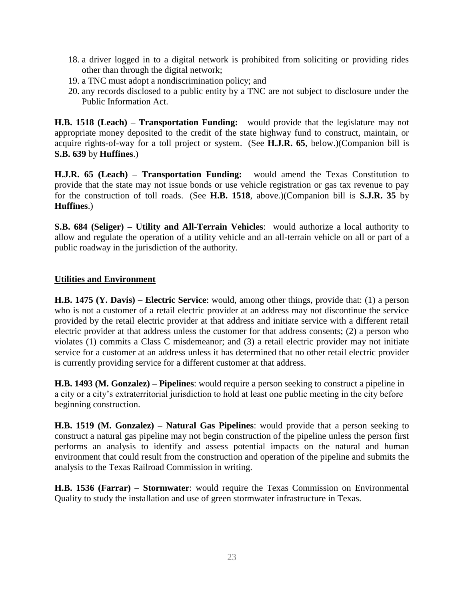- 18. a driver logged in to a digital network is prohibited from soliciting or providing rides other than through the digital network;
- 19. a TNC must adopt a nondiscrimination policy; and
- 20. any records disclosed to a public entity by a TNC are not subject to disclosure under the Public Information Act.

**H.B. 1518 (Leach) – Transportation Funding:** would provide that the legislature may not appropriate money deposited to the credit of the state highway fund to construct, maintain, or acquire rights-of-way for a toll project or system. (See **H.J.R. 65**, below.)(Companion bill is **S.B. 639** by **Huffines**.)

**H.J.R. 65 (Leach) – Transportation Funding:** would amend the Texas Constitution to provide that the state may not issue bonds or use vehicle registration or gas tax revenue to pay for the construction of toll roads. (See **H.B. 1518**, above.)(Companion bill is **S.J.R. 35** by **Huffines**.)

**S.B. 684 (Seliger) – Utility and All-Terrain Vehicles**: would authorize a local authority to allow and regulate the operation of a utility vehicle and an all-terrain vehicle on all or part of a public roadway in the jurisdiction of the authority.

#### **Utilities and Environment**

**H.B. 1475 (Y. Davis) – Electric Service**: would, among other things, provide that: (1) a person who is not a customer of a retail electric provider at an address may not discontinue the service provided by the retail electric provider at that address and initiate service with a different retail electric provider at that address unless the customer for that address consents; (2) a person who violates (1) commits a Class C misdemeanor; and (3) a retail electric provider may not initiate service for a customer at an address unless it has determined that no other retail electric provider is currently providing service for a different customer at that address.

**H.B. 1493 (M. Gonzalez) – Pipelines**: would require a person seeking to construct a pipeline in a city or a city's extraterritorial jurisdiction to hold at least one public meeting in the city before beginning construction.

**H.B. 1519 (M. Gonzalez) – Natural Gas Pipelines**: would provide that a person seeking to construct a natural gas pipeline may not begin construction of the pipeline unless the person first performs an analysis to identify and assess potential impacts on the natural and human environment that could result from the construction and operation of the pipeline and submits the analysis to the Texas Railroad Commission in writing.

**H.B. 1536 (Farrar) – Stormwater**: would require the Texas Commission on Environmental Quality to study the installation and use of green stormwater infrastructure in Texas.